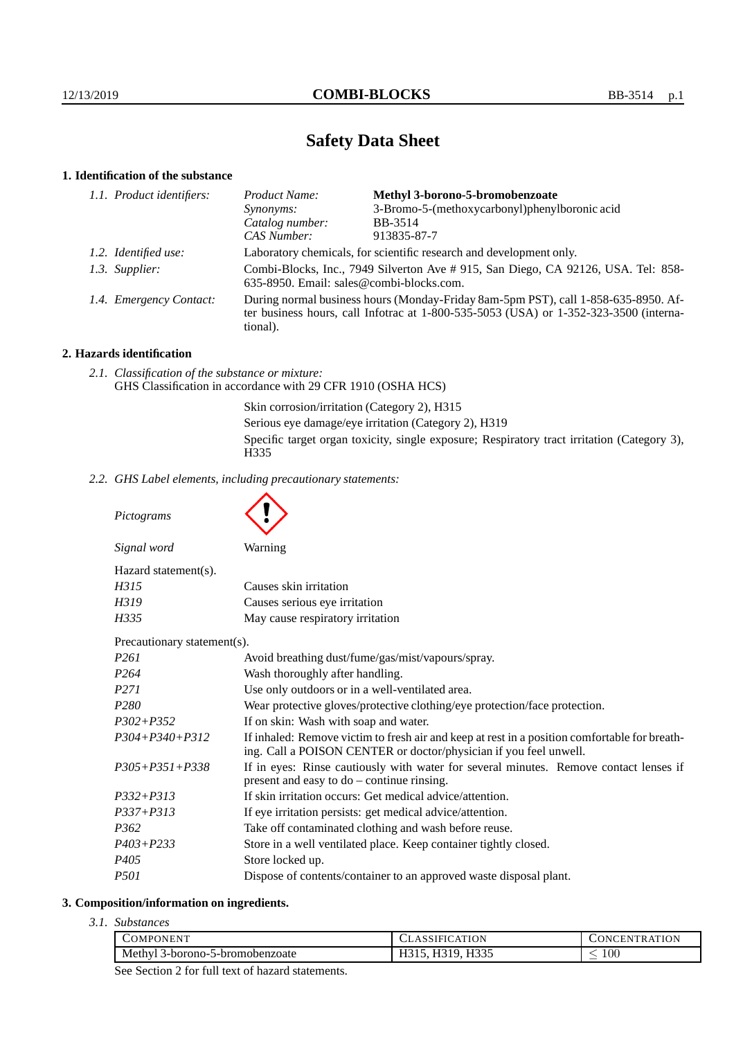# **Safety Data Sheet**

## **1. Identification of the substance**

| Product Name:                                                                                                                                                                           | Methyl 3-borono-5-bromobenzoate               |
|-----------------------------------------------------------------------------------------------------------------------------------------------------------------------------------------|-----------------------------------------------|
| <i>Synonyms:</i>                                                                                                                                                                        | 3-Bromo-5-(methoxycarbonyl)phenylboronic acid |
| Catalog number:                                                                                                                                                                         | BB-3514                                       |
| CAS Number:                                                                                                                                                                             | 913835-87-7                                   |
| Laboratory chemicals, for scientific research and development only.                                                                                                                     |                                               |
| Combi-Blocks, Inc., 7949 Silverton Ave # 915, San Diego, CA 92126, USA. Tel: 858-<br>635-8950. Email: sales@combi-blocks.com.                                                           |                                               |
| During normal business hours (Monday-Friday 8am-5pm PST), call 1-858-635-8950. Af-<br>ter business hours, call Infotrac at 1-800-535-5053 (USA) or 1-352-323-3500 (interna-<br>tional). |                                               |
| 1.1. Product identifiers:<br>1.2. Identified use:<br>1.3. Supplier:<br>1.4. Emergency Contact:                                                                                          |                                               |

## **2. Hazards identification**

*2.1. Classification of the substance or mixture:* GHS Classification in accordance with 29 CFR 1910 (OSHA HCS)

> Skin corrosion/irritation (Category 2), H315 Serious eye damage/eye irritation (Category 2), H319 Specific target organ toxicity, single exposure; Respiratory tract irritation (Category 3), H335

*2.2. GHS Label elements, including precautionary statements:*

*Pictograms*

| Signal word             | Warning |
|-------------------------|---------|
| $Hazard statement(s)$ . |         |

| Trazava statement s7. |                                  |
|-----------------------|----------------------------------|
| H315                  | Causes skin irritation           |
| H319                  | Causes serious eye irritation    |
| H335.                 | May cause respiratory irritation |

Precautionary statement(s).

| I recutational y statement s <i>y</i> . |                                                                                                                                                                    |  |
|-----------------------------------------|--------------------------------------------------------------------------------------------------------------------------------------------------------------------|--|
| P261                                    | Avoid breathing dust/fume/gas/mist/vapours/spray.                                                                                                                  |  |
| P264                                    | Wash thoroughly after handling.                                                                                                                                    |  |
| P271                                    | Use only outdoors or in a well-ventilated area.                                                                                                                    |  |
| P280                                    | Wear protective gloves/protective clothing/eye protection/face protection.                                                                                         |  |
| P302+P352                               | If on skin: Wash with soap and water.                                                                                                                              |  |
| P304+P340+P312                          | If inhaled: Remove victim to fresh air and keep at rest in a position comfortable for breath-<br>ing. Call a POISON CENTER or doctor/physician if you feel unwell. |  |
| P305+P351+P338                          | If in eyes: Rinse cautiously with water for several minutes. Remove contact lenses if<br>present and easy to $do$ – continue rinsing.                              |  |
| P332+P313                               | If skin irritation occurs: Get medical advice/attention.                                                                                                           |  |
| P337+P313                               | If eye irritation persists: get medical advice/attention.                                                                                                          |  |
| P362                                    | Take off contaminated clothing and wash before reuse.                                                                                                              |  |
| P403+P233                               | Store in a well ventilated place. Keep container tightly closed.                                                                                                   |  |
| P405                                    | Store locked up.                                                                                                                                                   |  |
| P501                                    | Dispose of contents/container to an approved waste disposal plant.                                                                                                 |  |
|                                         |                                                                                                                                                                    |  |

## **3. Composition/information on ingredients.**

*3.1. Substances*

| COMPONENT                                         |                   | <b>\TION</b><br>1 N I<br>6 N |
|---------------------------------------------------|-------------------|------------------------------|
| Methyl $\hat{z}$<br>5-bromobenzoate<br>3-borono-: | TTQQF<br>**∼<br>. | $100\,$<br>_                 |

See Section 2 for full text of hazard statements.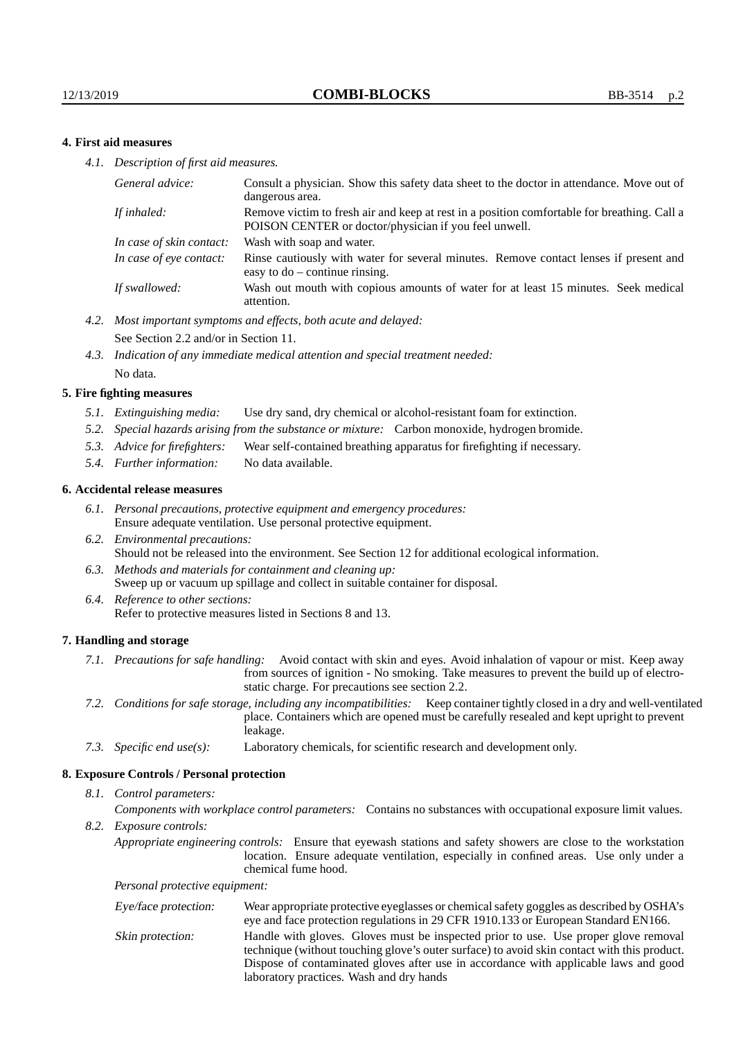### **4. First aid measures**

*4.1. Description of first aid measures.*

| General advice:          | Consult a physician. Show this safety data sheet to the doctor in attendance. Move out of<br>dangerous area.                                         |
|--------------------------|------------------------------------------------------------------------------------------------------------------------------------------------------|
| If inhaled:              | Remove victim to fresh air and keep at rest in a position comfortable for breathing. Call a<br>POISON CENTER or doctor/physician if you feel unwell. |
| In case of skin contact: | Wash with soap and water.                                                                                                                            |
| In case of eye contact:  | Rinse cautiously with water for several minutes. Remove contact lenses if present and<br>easy to $do$ – continue rinsing.                            |
| If swallowed:            | Wash out mouth with copious amounts of water for at least 15 minutes. Seek medical<br>attention.                                                     |

- *4.2. Most important symptoms and effects, both acute and delayed:* See Section 2.2 and/or in Section 11.
- *4.3. Indication of any immediate medical attention and special treatment needed:* No data.

#### **5. Fire fighting measures**

- *5.1. Extinguishing media:* Use dry sand, dry chemical or alcohol-resistant foam for extinction.
- *5.2. Special hazards arising from the substance or mixture:* Carbon monoxide, hydrogen bromide.
- *5.3. Advice for firefighters:* Wear self-contained breathing apparatus for firefighting if necessary.
- *5.4. Further information:* No data available.

#### **6. Accidental release measures**

- *6.1. Personal precautions, protective equipment and emergency procedures:* Ensure adequate ventilation. Use personal protective equipment.
- *6.2. Environmental precautions:* Should not be released into the environment. See Section 12 for additional ecological information.
- *6.3. Methods and materials for containment and cleaning up:* Sweep up or vacuum up spillage and collect in suitable container for disposal.
- *6.4. Reference to other sections:* Refer to protective measures listed in Sections 8 and 13.

#### **7. Handling and storage**

- *7.1. Precautions for safe handling:* Avoid contact with skin and eyes. Avoid inhalation of vapour or mist. Keep away from sources of ignition - No smoking. Take measures to prevent the build up of electrostatic charge. For precautions see section 2.2.
- *7.2. Conditions for safe storage, including any incompatibilities:* Keep container tightly closed in a dry and well-ventilated place. Containers which are opened must be carefully resealed and kept upright to prevent leakage.
- *7.3. Specific end use(s):* Laboratory chemicals, for scientific research and development only.

#### **8. Exposure Controls / Personal protection**

*8.1. Control parameters:*

*Components with workplace control parameters:* Contains no substances with occupational exposure limit values.

*8.2. Exposure controls:*

*Appropriate engineering controls:* Ensure that eyewash stations and safety showers are close to the workstation location. Ensure adequate ventilation, especially in confined areas. Use only under a chemical fume hood.

*Personal protective equipment:*

| Eye/face protection: | Wear appropriate protective eyeglasses or chemical safety goggles as described by OSHA's<br>eye and face protection regulations in 29 CFR 1910.133 or European Standard EN166.                                                                                                                                         |
|----------------------|------------------------------------------------------------------------------------------------------------------------------------------------------------------------------------------------------------------------------------------------------------------------------------------------------------------------|
| Skin protection:     | Handle with gloves. Gloves must be inspected prior to use. Use proper glove removal<br>technique (without touching glove's outer surface) to avoid skin contact with this product.<br>Dispose of contaminated gloves after use in accordance with applicable laws and good<br>laboratory practices. Wash and dry hands |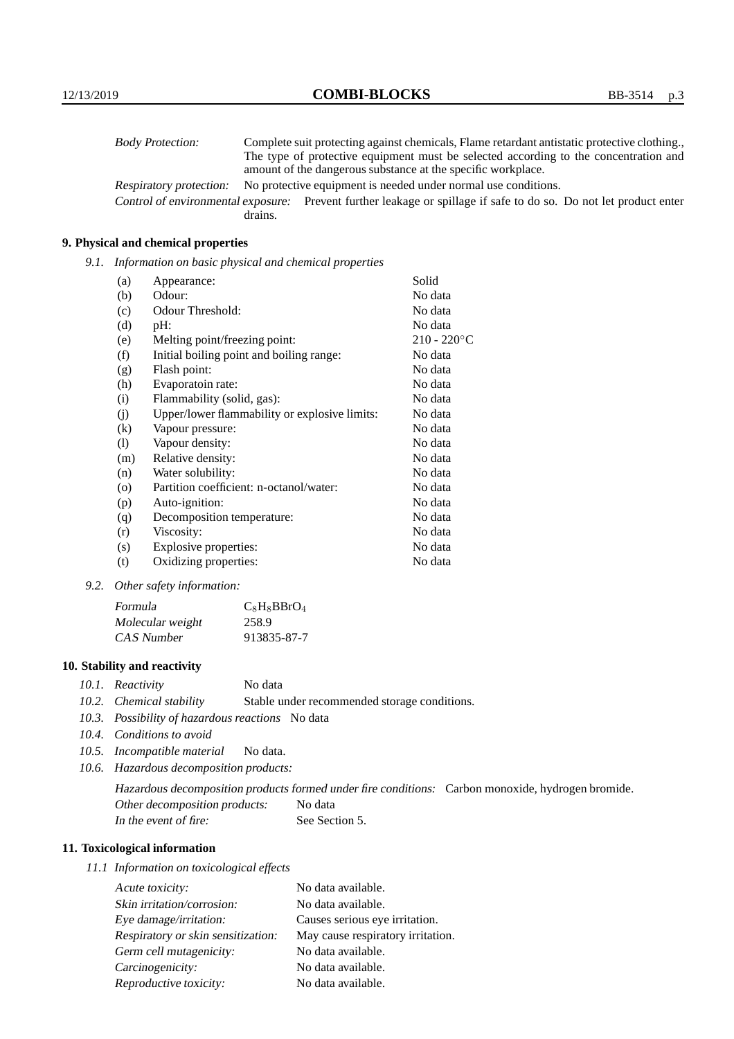| <b>Body Protection:</b> |         | Complete suit protecting against chemicals, Flame retardant antistatic protective clothing.                       |
|-------------------------|---------|-------------------------------------------------------------------------------------------------------------------|
|                         |         | The type of protective equipment must be selected according to the concentration and                              |
|                         |         | amount of the dangerous substance at the specific workplace.                                                      |
| Respiratory protection: |         | No protective equipment is needed under normal use conditions.                                                    |
|                         |         | Control of environmental exposure: Prevent further leakage or spillage if safe to do so. Do not let product enter |
|                         | drains. |                                                                                                                   |

## **9. Physical and chemical properties**

*9.1. Information on basic physical and chemical properties*

| (a)     | Appearance:                                   | Solid          |
|---------|-----------------------------------------------|----------------|
| (b)     | Odour:                                        | No data        |
| (c)     | Odour Threshold:                              | No data        |
| (d)     | pH:                                           | No data        |
| (e)     | Melting point/freezing point:                 | $210 - 220$ °C |
| (f)     | Initial boiling point and boiling range:      | No data        |
| (g)     | Flash point:                                  | No data        |
| (h)     | Evaporatoin rate:                             | No data        |
| (i)     | Flammability (solid, gas):                    | No data        |
| (j)     | Upper/lower flammability or explosive limits: | No data        |
| (k)     | Vapour pressure:                              | No data        |
| (1)     | Vapour density:                               | No data        |
| (m)     | Relative density:                             | No data        |
| (n)     | Water solubility:                             | No data        |
| $\circ$ | Partition coefficient: n-octanol/water:       | No data        |
| (p)     | Auto-ignition:                                | No data        |
| (q)     | Decomposition temperature:                    | No data        |
| (r)     | Viscosity:                                    | No data        |
| (s)     | Explosive properties:                         | No data        |
| (t)     | Oxidizing properties:                         | No data        |

*9.2. Other safety information:*

| Formula          | $C_8H_8BBrO_4$ |
|------------------|----------------|
| Molecular weight | 258.9          |
| CAS Number       | 913835-87-7    |

## **10. Stability and reactivity**

- *10.1. Reactivity* No data
- *10.2. Chemical stability* Stable under recommended storage conditions.
- *10.3. Possibility of hazardous reactions* No data
- *10.4. Conditions to avoid*
- *10.5. Incompatible material* No data.
- *10.6. Hazardous decomposition products:*

Hazardous decomposition products formed under fire conditions: Carbon monoxide, hydrogen bromide. Other decomposition products: No data In the event of fire: See Section 5.

## **11. Toxicological information**

*11.1 Information on toxicological effects*

| Acute toxicity:                    | No data available.                |
|------------------------------------|-----------------------------------|
| Skin irritation/corrosion:         | No data available.                |
| Eye damage/irritation:             | Causes serious eye irritation.    |
| Respiratory or skin sensitization: | May cause respiratory irritation. |
| Germ cell mutagenicity:            | No data available.                |
| Carcinogenicity:                   | No data available.                |
| Reproductive toxicity:             | No data available.                |